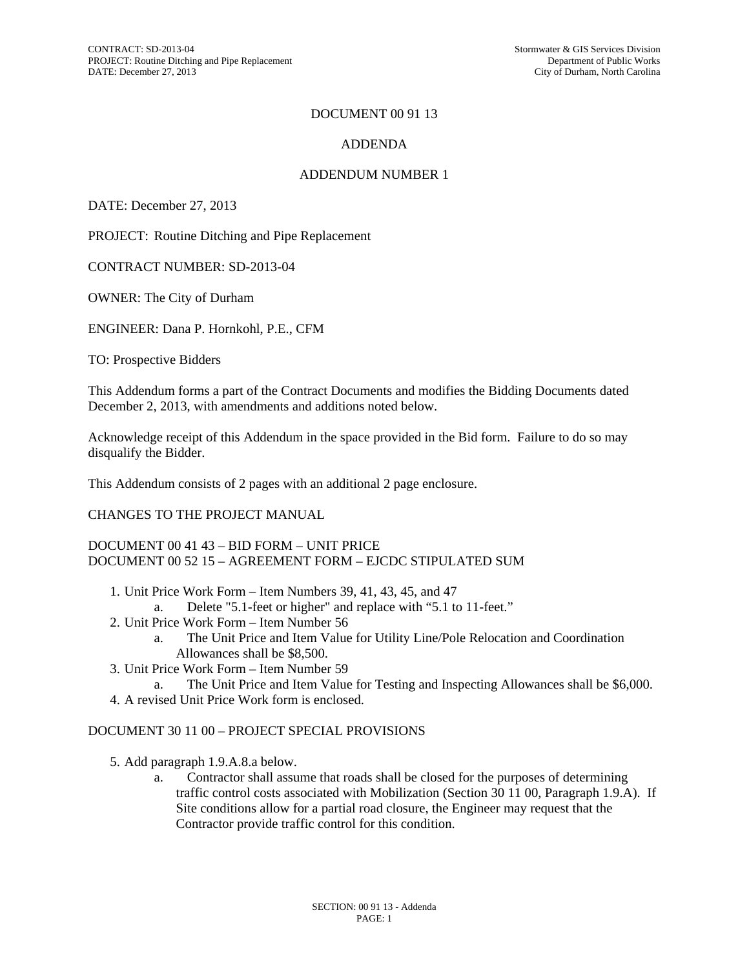### DOCUMENT 00 91 13

### ADDENDA

### ADDENDUM NUMBER 1

DATE: December 27, 2013

PROJECT: Routine Ditching and Pipe Replacement

#### CONTRACT NUMBER: SD-2013-04

OWNER: The City of Durham

ENGINEER: Dana P. Hornkohl, P.E., CFM

TO: Prospective Bidders

This Addendum forms a part of the Contract Documents and modifies the Bidding Documents dated December 2, 2013, with amendments and additions noted below.

Acknowledge receipt of this Addendum in the space provided in the Bid form. Failure to do so may disqualify the Bidder.

This Addendum consists of 2 pages with an additional 2 page enclosure.

### CHANGES TO THE PROJECT MANUAL

### DOCUMENT 00 41 43 – BID FORM – UNIT PRICE DOCUMENT 00 52 15 – AGREEMENT FORM – EJCDC STIPULATED SUM

- 1. Unit Price Work Form Item Numbers 39, 41, 43, 45, and 47
	- a. Delete "5.1-feet or higher" and replace with "5.1 to 11-feet."
- 2. Unit Price Work Form Item Number 56
	- a. The Unit Price and Item Value for Utility Line/Pole Relocation and Coordination Allowances shall be \$8,500.
- 3. Unit Price Work Form Item Number 59
- a. The Unit Price and Item Value for Testing and Inspecting Allowances shall be \$6,000.
- 4. A revised Unit Price Work form is enclosed.

#### DOCUMENT 30 11 00 – PROJECT SPECIAL PROVISIONS

- 5. Add paragraph 1.9.A.8.a below.
	- a. Contractor shall assume that roads shall be closed for the purposes of determining traffic control costs associated with Mobilization (Section 30 11 00, Paragraph 1.9.A). If Site conditions allow for a partial road closure, the Engineer may request that the Contractor provide traffic control for this condition.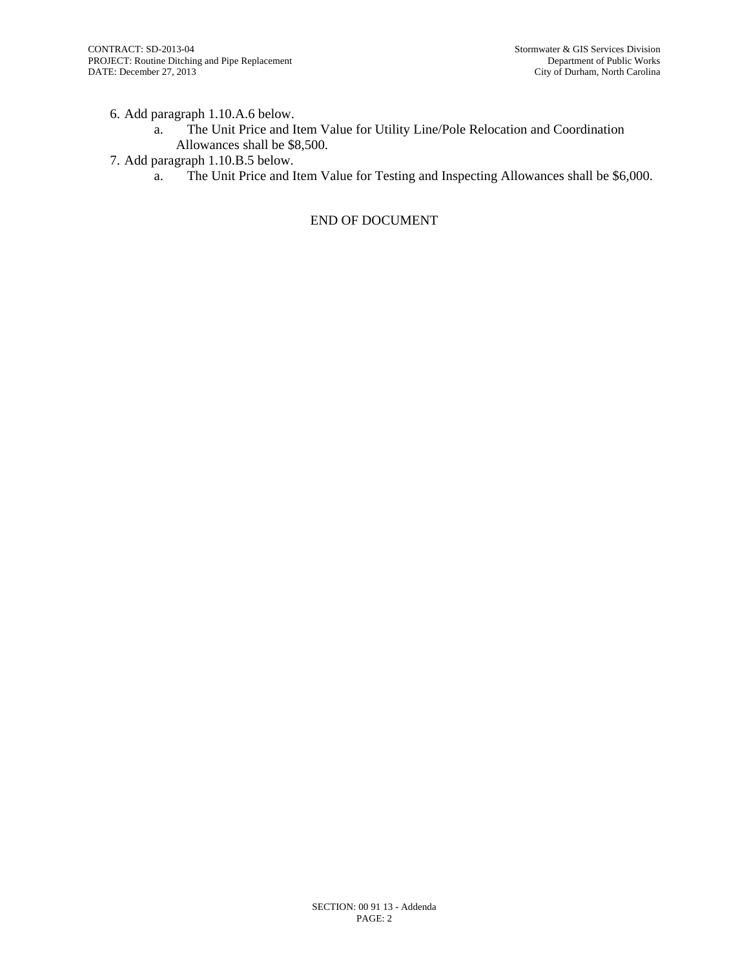6. Add paragraph 1.10.A.6 below.

- a. The Unit Price and Item Value for Utility Line/Pole Relocation and Coordination Allowances shall be \$8,500.
- 7. Add paragraph 1.10.B.5 below.
	- a. The Unit Price and Item Value for Testing and Inspecting Allowances shall be \$6,000.

# END OF DOCUMENT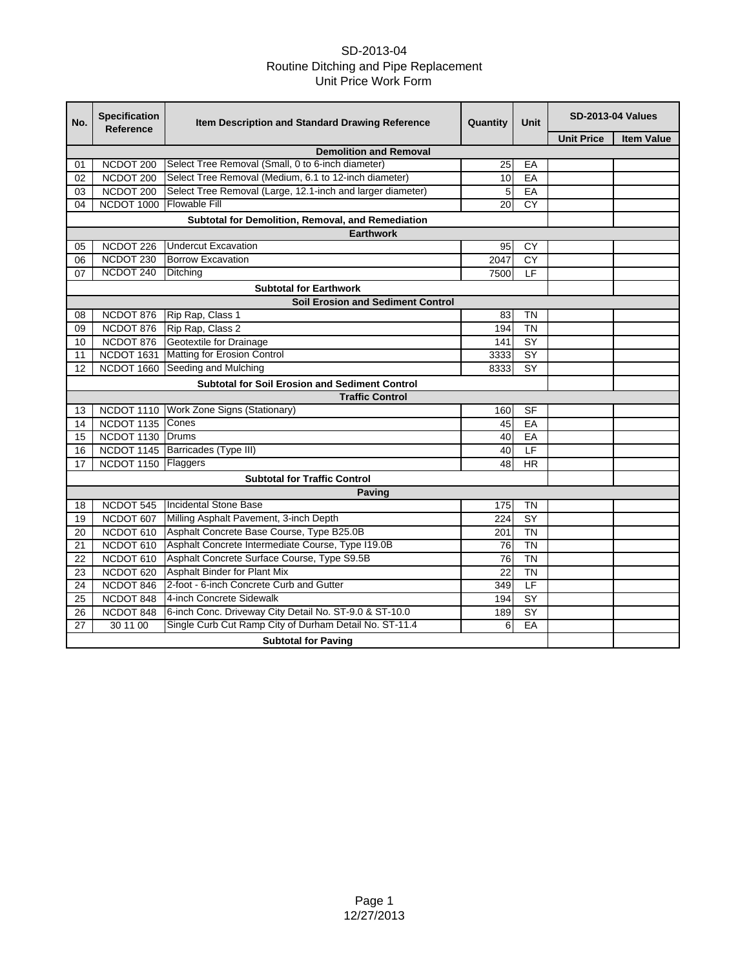# SD-2013-04 Routine Ditching and Pipe Replacement Unit Price Work Form

| No.                                                                                | <b>Specification</b><br><b>Reference</b> | Item Description and Standard Drawing Reference            | Quantity | <b>Unit</b>     | <b>SD-2013-04 Values</b> |                   |  |  |  |
|------------------------------------------------------------------------------------|------------------------------------------|------------------------------------------------------------|----------|-----------------|--------------------------|-------------------|--|--|--|
|                                                                                    |                                          |                                                            |          |                 | <b>Unit Price</b>        | <b>Item Value</b> |  |  |  |
| <b>Demolition and Removal</b><br>Select Tree Removal (Small, 0 to 6-inch diameter) |                                          |                                                            |          |                 |                          |                   |  |  |  |
| 01<br>02                                                                           | NCDOT 200<br>NCDOT <sub>200</sub>        | Select Tree Removal (Medium, 6.1 to 12-inch diameter)      | 25<br>10 | EA<br>EA        |                          |                   |  |  |  |
| 03                                                                                 | NCDOT <sub>200</sub>                     | Select Tree Removal (Large, 12.1-inch and larger diameter) | 5        | EA              |                          |                   |  |  |  |
| 04                                                                                 | <b>NCDOT 1000</b>                        | <b>Flowable Fill</b>                                       | 20       | <b>CY</b>       |                          |                   |  |  |  |
|                                                                                    |                                          |                                                            |          |                 |                          |                   |  |  |  |
| Subtotal for Demolition, Removal, and Remediation                                  |                                          |                                                            |          |                 |                          |                   |  |  |  |
|                                                                                    | NCDOT <sub>226</sub>                     | <b>Earthwork</b><br><b>Undercut Excavation</b>             | 95       | СY              |                          |                   |  |  |  |
| 05<br>06                                                                           | NCDOT 230                                | <b>Borrow Excavation</b>                                   | 2047     | <b>CY</b>       |                          |                   |  |  |  |
| 07                                                                                 | NCDOT 240                                | Ditching                                                   | 7500     | LF              |                          |                   |  |  |  |
|                                                                                    |                                          |                                                            |          |                 |                          |                   |  |  |  |
| <b>Subtotal for Earthwork</b>                                                      |                                          |                                                            |          |                 |                          |                   |  |  |  |
|                                                                                    | NCDOT 876                                | <b>Soil Erosion and Sediment Control</b>                   | 83       | <b>TN</b>       |                          |                   |  |  |  |
| 08<br>09                                                                           | NCDOT 876                                | Rip Rap, Class 1<br>Rip Rap, Class 2                       | 194      | $\overline{T}N$ |                          |                   |  |  |  |
| 10                                                                                 | NCDOT 876                                | Geotextile for Drainage                                    | 141      | $\overline{SY}$ |                          |                   |  |  |  |
| 11                                                                                 | NCDOT 1631                               | <b>Matting for Erosion Control</b>                         | 3333     | $\overline{SY}$ |                          |                   |  |  |  |
| 12                                                                                 | <b>NCDOT 1660</b>                        | Seeding and Mulching                                       | 8333     | $\overline{SY}$ |                          |                   |  |  |  |
|                                                                                    |                                          | <b>Subtotal for Soil Erosion and Sediment Control</b>      |          |                 |                          |                   |  |  |  |
|                                                                                    |                                          | <b>Traffic Control</b>                                     |          |                 |                          |                   |  |  |  |
| 13                                                                                 | <b>NCDOT 1110</b>                        | Work Zone Signs (Stationary)                               | 160      | SF              |                          |                   |  |  |  |
| 14                                                                                 | NCDOT 1135                               | Cones                                                      | 45       | EA              |                          |                   |  |  |  |
| 15                                                                                 | NCDOT 1130 Drums                         |                                                            | 40       | EA              |                          |                   |  |  |  |
| 16                                                                                 | NCDOT 1145                               | Barricades (Type III)                                      | 40       | LF              |                          |                   |  |  |  |
| 17                                                                                 | <b>NCDOT 1150</b>                        | Flaggers                                                   | 48       | HR.             |                          |                   |  |  |  |
|                                                                                    |                                          | <b>Subtotal for Traffic Control</b>                        |          |                 |                          |                   |  |  |  |
|                                                                                    |                                          | Paving                                                     |          |                 |                          |                   |  |  |  |
| 18                                                                                 | NCDOT 545                                | <b>Incidental Stone Base</b>                               | 175      | <b>TN</b>       |                          |                   |  |  |  |
| 19                                                                                 | NCDOT 607                                | Milling Asphalt Pavement, 3-inch Depth                     | 224      | SY              |                          |                   |  |  |  |
| 20                                                                                 | NCDOT 610                                | Asphalt Concrete Base Course, Type B25.0B                  | 201      | $\overline{T}N$ |                          |                   |  |  |  |
| 21                                                                                 | NCDOT 610                                | Asphalt Concrete Intermediate Course, Type I19.0B          | 76       | <b>TN</b>       |                          |                   |  |  |  |
| 22                                                                                 | NCDOT 610                                | Asphalt Concrete Surface Course, Type S9.5B                | 76       | <b>TN</b>       |                          |                   |  |  |  |
| 23                                                                                 | NCDOT 620                                | Asphalt Binder for Plant Mix                               | 22       | <b>TN</b>       |                          |                   |  |  |  |
| 24                                                                                 | NCDOT 846                                | 2-foot - 6-inch Concrete Curb and Gutter                   | 349      | E               |                          |                   |  |  |  |
| 25                                                                                 | NCDOT 848                                | 4-inch Concrete Sidewalk                                   | 194      | $\overline{SY}$ |                          |                   |  |  |  |
| 26                                                                                 | NCDOT 848                                | 6-inch Conc. Driveway City Detail No. ST-9.0 & ST-10.0     | 189      | SY              |                          |                   |  |  |  |
| 27                                                                                 | 30 11 00                                 | Single Curb Cut Ramp City of Durham Detail No. ST-11.4     | 6        | EA              |                          |                   |  |  |  |
| <b>Subtotal for Paving</b>                                                         |                                          |                                                            |          |                 |                          |                   |  |  |  |